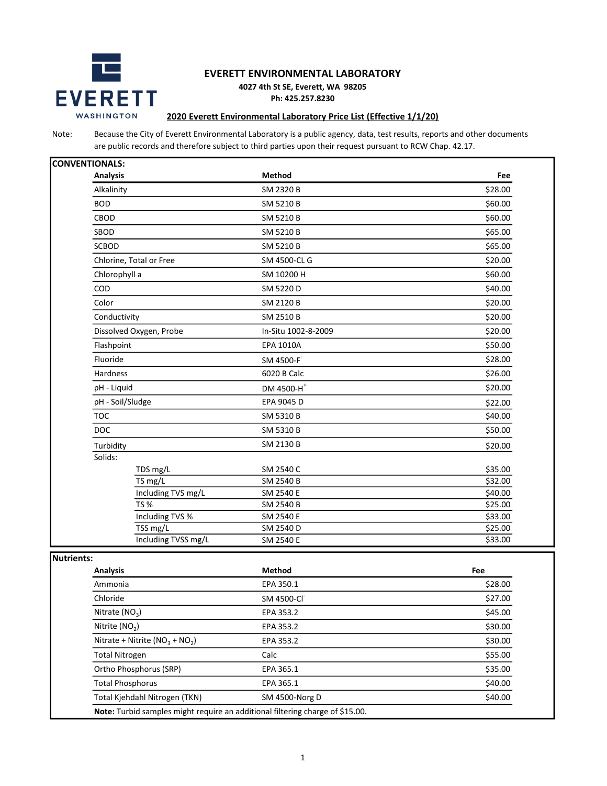

## EVERETT ENVIRONMENTAL LABORATORY

4027 4th St SE, Everett, WA 98205

Ph: 425.257.8230

## 2020 Everett Environmental Laboratory Price List (Effective 1/1/20)

Note: Because the City of Everett Environmental Laboratory is a public agency, data, test results, reports and other documents are public records and therefore subject to third parties upon their request pursuant to RCW Chap. 42.17.

| <b>Analysis</b>         | <b>Method</b>          | Fee     |
|-------------------------|------------------------|---------|
| Alkalinity              | SM 2320 B              | \$28.00 |
| <b>BOD</b>              | SM 5210 B              | \$60.00 |
| CBOD                    | SM 5210 B              | \$60.00 |
| SBOD                    | SM 5210 B              | \$65.00 |
| <b>SCBOD</b>            | SM 5210 B              | \$65.00 |
| Chlorine, Total or Free | SM 4500-CL G           | \$20.00 |
| Chlorophyll a           | SM 10200 H             | \$60.00 |
| COD                     | SM 5220 D              | \$40.00 |
| Color                   | SM 2120 B              | \$20.00 |
| Conductivity            | SM 2510 B              | \$20.00 |
| Dissolved Oxygen, Probe | In-Situ 1002-8-2009    | \$20.00 |
| Flashpoint              | EPA 1010A              | \$50.00 |
| Fluoride                | SM 4500-F              | \$28.00 |
| <b>Hardness</b>         | 6020 B Calc            | \$26.00 |
| pH - Liquid             | DM 4500-H <sup>+</sup> | \$20.00 |
| pH - Soil/Sludge        | EPA 9045 D             | \$22.00 |
| <b>TOC</b>              | SM 5310 B              | \$40.00 |
| <b>DOC</b>              | SM 5310 B              | \$50.00 |
| Turbidity               | SM 2130 B              | \$20.00 |
| Solids:                 |                        |         |
| TDS mg/L                | SM 2540 C              | \$35.00 |
| TS mg/L                 | SM 2540 B              | \$32.00 |
| Including TVS mg/L      | SM 2540 E              | \$40.00 |
| <b>TS%</b>              | SM 2540 B              | \$25.00 |
| Including TVS %         | SM 2540 E              | \$33.00 |
| TSS mg/L                | SM 2540 D              | \$25.00 |
| Including TVSS mg/L     | SM 2540 E              | \$33.00 |

Nutrients:

| <b>Analysis</b>                   | <b>Method</b>  | Fee     |
|-----------------------------------|----------------|---------|
| Ammonia                           | EPA 350.1      | \$28.00 |
| Chloride                          | SM 4500-CI     | \$27.00 |
| Nitrate $(NO3)$                   | EPA 353.2      | \$45.00 |
| Nitrite $(NO2)$                   | EPA 353.2      | \$30.00 |
| Nitrate + Nitrite ( $NO3 + NO2$ ) | EPA 353.2      | \$30.00 |
| <b>Total Nitrogen</b>             | Calc           | \$55.00 |
| Ortho Phosphorus (SRP)            | EPA 365.1      | \$35.00 |
| <b>Total Phosphorus</b>           | EPA 365.1      | \$40.00 |
| Total Kjehdahl Nitrogen (TKN)     | SM 4500-Norg D | \$40.00 |